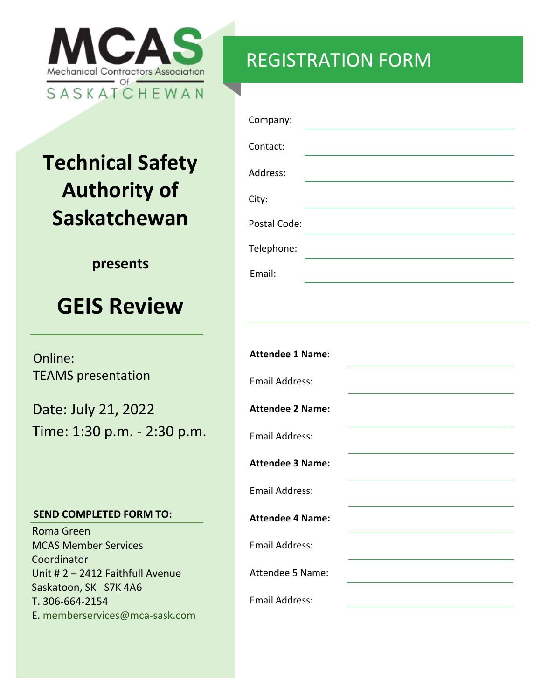

### REGISTRATION FORM

# **Technical Safety Authority of Saskatchewan**

#### **presents**

## **GEIS Review**

Online: TEAMS presentation

Date: July 21, 2022 Time: 1:30 p.m. - 2:30 p.m.

#### **SEND COMPLETED FORM TO:**

Roma Green MCAS Member Services Coordinator Unit # 2 – 2412 Faithfull Avenue Saskatoon, SK S7K 4A6 T. 306-664-2154 E. memberservices@mca-sask.com

| Company:     |  |
|--------------|--|
| Contact:     |  |
| Address:     |  |
| City:        |  |
| Postal Code: |  |
| Telephone:   |  |
| Email:       |  |

| <b>Attendee 1 Name:</b> |  |
|-------------------------|--|
| <b>Email Address:</b>   |  |
| <b>Attendee 2 Name:</b> |  |
| <b>Email Address:</b>   |  |
| <b>Attendee 3 Name:</b> |  |
| <b>Email Address:</b>   |  |
| <b>Attendee 4 Name:</b> |  |
| <b>Email Address:</b>   |  |
| Attendee 5 Name:        |  |
| <b>Email Address:</b>   |  |